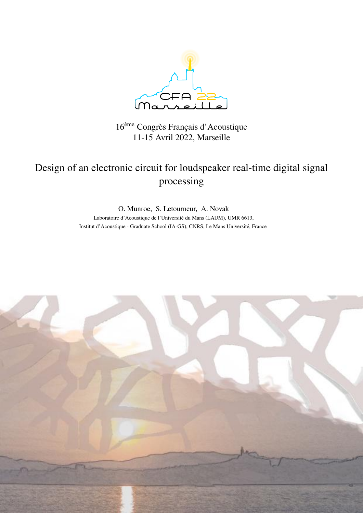

# 16ème Congrès Français d'Acoustique 11-15 Avril 2022, Marseille

# Design of an electronic circuit for loudspeaker real-time digital signal processing

O. Munroe, S. Letourneur, A. Novak Laboratoire d'Acoustique de l'Université du Mans (LAUM), UMR 6613, Institut d'Acoustique - Graduate School (IA-GS), CNRS, Le Mans Université, France

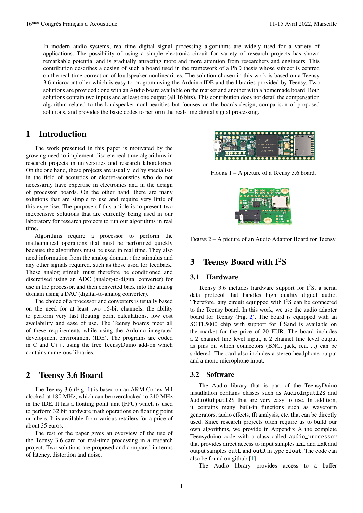In modern audio systems, real-time digital signal processing algorithms are widely used for a variety of applications. The possibility of using a simple electronic circuit for variety of research projects has shown remarkable potential and is gradually attracting more and more attention from researchers and engineers. This contribution describes a design of such a board used in the framework of a PhD thesis whose subject is centred on the real-time correction of loudspeaker nonlinearities. The solution chosen in this work is based on a Teensy 3.6 microcontroller which is easy to program using the Arduino IDE and the libraries provided by Teensy. Two solutions are provided : one with an Audio board available on the market and another with a homemade board. Both solutions contain two inputs and at least one output (all 16 bits). This contribution does not detail the compensation algorithm related to the loudspeaker nonlinearities but focuses on the boards design, comparison of proposed solutions, and provides the basic codes to perform the real-time digital signal processing.

## 1 Introduction

The work presented in this paper is motivated by the growing need to implement discrete real-time algorithms in research projects in universities and research laboratories. On the one hand, these projects are usually led by specialists in the field of acoustics or electro-acoustics who do not necessarily have expertise in electronics and in the design of processor boards. On the other hand, there are many solutions that are simple to use and require very little of this expertise. The purpose of this article is to present two inexpensive solutions that are currently being used in our laboratory for research projects to run our algorithms in real time.

Algorithms require a processor to perform the mathematical operations that must be performed quickly because the algorithms must be used in real time. They also need information from the analog domain : the stimulus and any other signals required, such as those used for feedback. These analog stimuli must therefore be conditioned and discretised using an ADC (analog-to-digital converter) for use in the processor, and then converted back into the analog domain using a DAC (digital-to-analog converter).

The choice of a processor and converters is usually based on the need for at least two 16-bit channels, the ability to perform very fast floating point calculations, low cost availability and ease of use. The Teensy boards meet all of these requirements while using the Arduino integrated development environment (IDE). The programs are coded in C and C++, using the free TeensyDuino add-on which contains numerous libraries.

## 2 Teensy 3.6 Board

The Teensy 3.6 (Fig. [1\)](#page-1-0) is based on an ARM Cortex M4 clocked at 180 MHz, which can be overclocked to 240 MHz in the IDE. It has a floating point unit (FPU) which is used to perform 32 bit hardware math operations on floating point numbers. It is available from various retailers for a price of about 35 euros.

The rest of the paper gives an overview of the use of the Teensy 3.6 card for real-time processing in a research project. Two solutions are proposed and compared in terms of latency, distortion and noise.



<span id="page-1-0"></span>FIGURE  $1 - A$  picture of a Teensy 3.6 board.



Figure 2 – A picture of an Audio Adaptor Board for Teensy.

## <span id="page-1-1"></span>3 Teensy Board with  $I^2S$

#### 3.1 Hardware

Teensy 3.6 includes hardware support for  $I^2S$ , a serial data protocol that handles high quality digital audio. Therefore, any circuit equipped with  $I^2S$  can be connected to the Teensy board. In this work, we use the audio adapter board for Teensy (Fig. [2\)](#page-1-1). The board is equipped with an SGTL5000 chip with support for  $I^2$ Sand is available on the market for the price of 20 EUR. The board includes a 2 channel line level input, a 2 channel line level output as pins on which connectors (BNC, jack, rca, ...) can be soldered. The card also includes a stereo headphone output and a mono microphone input.

#### 3.2 Software

The Audio library that is part of the TeensyDuino installation contains classes such as AudioInputI2S and AudioOutputI2S that are very easy to use. In addition, it contains many built-in functions such as waveform generators, audio effects, fft analysis, etc. that can be directly used. Since research projects often require us to build our own algorithms, we provide in Appendix A the complete Teensyduino code with a class called audio\_processor that provides direct access to input samples inL and inR and output samples outL and outR in type float. The code can also be found on github [\[1\]](#page-3-0).

The Audio library provides access to a buffer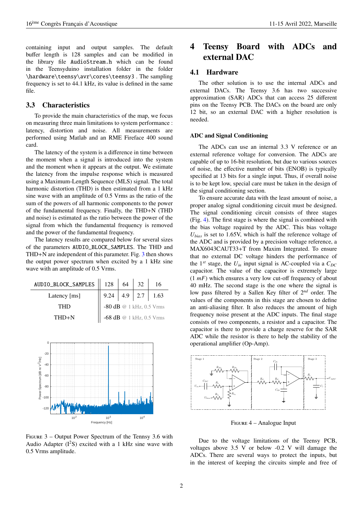containing input and output samples. The default buffer length is 128 samples and can be modified in the library file AudioStream.h which can be found in the Teensyduino installation folder in the folder \hardware\teensy\avr\cores\teensy3 . The sampling frequency is set to 44.1 kHz, its value is defined in the same file.

#### 3.3 Characteristics

To provide the main characteristics of the map, we focus on measuring three main limitations to system performance : latency, distortion and noise. All measurements are performed using Matlab and an RME Fireface 400 sound card.

The latency of the system is a difference in time between the moment when a signal is introduced into the system and the moment when it appears at the output. We estimate the latency from the impulse response which is measured using a Maximum-Length Sequence (MLS) signal. The total harmonic distortion (THD) is then estimated from a 1 kHz sine wave with an amplitude of 0.5 Vrms as the ratio of the sum of the powers of all harmonic components to the power of the fundamental frequency. Finally, the THD+N (THD and noise) is estimated as the ratio between the power of the signal from which the fundamental frequency is removed and the power of the fundamental frequency.

The latency results are compared below for several sizes of the parameters AUDIO\_BLOCK\_SAMPLES. The THD and THD+N are independent of this parameter. Fig. [3](#page-2-0) then shows the output power spectrum when excited by a 1 kHz sine wave with an amplitude of 0.5 Vrms.

| AUDIO_BLOCK_SAMPLES    128 |                          | 64 |  |                            |
|----------------------------|--------------------------|----|--|----------------------------|
| Latency [ms]               |                          |    |  | $9.24$   4.9   2.7   1.63  |
| <b>THD</b>                 | -80 dB @ 1 kHz, 0.5 Vrms |    |  |                            |
| $THD+N$                    |                          |    |  | -68 dB $@$ 1 kHz, 0.5 Vrms |



<span id="page-2-0"></span>Figure 3 – Output Power Spectrum of the Tennsy 3.6 with Audio Adapter  $(I^2S)$  excited with a 1 kHz sine wave with 0.5 Vrms amplitude.

# 4 Teensy Board with ADCs and external DAC

#### 4.1 Hardware

The other solution is to use the internal ADCs and external DACs. The Teensy 3.6 has two successive approximation (SAR) ADCs that can access 25 different pins on the Teensy PCB. The DACs on the board are only 12 bit, so an external DAC with a higher resolution is needed.

#### ADC and Signal Conditioning

The ADCs can use an internal 3.3 V reference or an external reference voltage for conversion. The ADCs are capable of up to 16-bit resolution, but due to various sources of noise, the effective number of bits (ENOB) is typically specified at 13 bits for a single input. Thus, if overall noise is to be kept low, special care must be taken in the design of the signal conditioning section.

To ensure accurate data with the least amount of noise, a proper analog signal conditioning circuit must be designed. The signal conditioning circuit consists of three stages (Fig. [4\)](#page-2-1). The first stage is where the signal is combined with the bias voltage required by the ADC. This bias voltage *Ubias* is set to 1.65V, which is half the reference voltage of the ADC and is provided by a precision voltage reference, a MAX6043CAUT33+T from Maxim Integrated. To ensure that no external DC voltage hinders the performance of the  $1^{st}$  stage, the  $U_{in}$  input signal is AC-coupled via a  $C_{DC}$ capacitor. The value of the capacitor is extremely large (1 *mF*) which ensures a very low cut-off frequency of about 40 mHz. The second stage is the one where the signal is low pass filtered by a Sallen Key filter of 2*nd* order. The values of the components in this stage are chosen to define an anti-aliasing filter. It also reduces the amount of high frequency noise present at the ADC inputs. The final stage consists of two components, a resistor and a capacitor. The capacitor is there to provide a charge reserve for the SAR ADC while the resistor is there to help the stability of the operational amplifier (Op-Amp).



<span id="page-2-1"></span>Figure 4 – Analogue Input

Due to the voltage limitations of the Teensy PCB, voltages above 3.5 V or below -0.2 V will damage the ADCs. There are several ways to protect the inputs, but in the interest of keeping the circuits simple and free of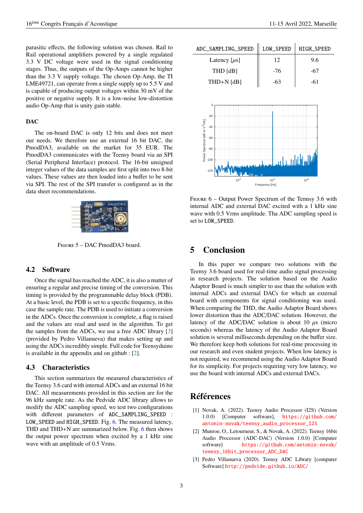parasitic effects, the following solution was chosen. Rail to Rail operational amplifiers powered by a single regulated 3.3 V DC voltage were used in the signal conditioning stages. Thus, the outputs of the Op-Amps cannot be higher than the 3.3 V supply voltage. The chosen Op-Amp, the TI LME49721, can operate from a single supply up to 5.5 V and is capable of producing output voltages within 30 mV of the positive or negative supply. It is a low-noise low-distortion audio Op-Amp that is unity gain stable.

#### DAC

The on-board DAC is only 12 bits and does not meet our needs. We therefore use an external 16 bit DAC, the PmodDA3, available on the market for 35 EUR. The PmodDA3 communicates with the Teensy board via an SPI (Serial Peripheral Interface) protocol. The 16-bit unsigned integer values of the data samples are first split into two 8-bit values. These values are then loaded into a buffer to be sent via SPI. The rest of the SPI transfer is configured as in the data sheet recommendations.



Figure 5 – DAC PmodDA3 board.

#### 4.2 Software

Once the signal has reached the ADC, it is also a matter of ensuring a regular and precise timing of the conversion. This timing is provided by the programmable delay block (PDB). At a basic level, the PDB is set to a specific frequency, in this case the sample rate. The PDB is used to initiate a conversion in the ADCs. Once the conversion is complete, a flag is raised and the values are read and used in the algorithm. To get the samples from the ADCs, we use a free ADC library [\[3\]](#page-3-1) (provided by Pedro Villanueva) that makes setting up and using the ADCs incredibly simple. Full code for Teensyduino is available in the appendix and on github : [\[2\]](#page-3-2).

#### 4.3 Characteristics

This section summarizes the measured characteristics of the Teensy 3.6 card with internal ADCs and an external 16 bit DAC. All measurements provided in this section are for the 96 kHz sample rate. As the Pedvide ADC library allows to modify the ADC sampling speed, we test two configurations with different parameters of ADC\_SAMPLING\_SPEED : LOW\_SPEED and HIGH\_SPEED. Fig. [6.](#page-3-3) The measured latency, THD and THD+N are summarized below. Fig. [6](#page-3-3) then shows the output power spectrum when excited by a 1 kHz sine wave with an amplitude of 0.5 Vrms.

| ADC_SAMPLING_SPEED | <b>LOW_SPEED</b> | <b>HIGH_SPEED</b> |
|--------------------|------------------|-------------------|
| Latency $[\mu s]$  | 12               | 9.6               |
| $THD$ $[dB]$       | $-76$            | -67               |
| $THD+N$ [dB]       | -63              | -61               |
|                    |                  |                   |



<span id="page-3-3"></span>FIGURE  $6$  – Output Power Spectrum of the Tennsy 3.6 with internal ADC and external DAC excited with a 1 kHz sine wave with 0.5 Vrms amplitude. Tha ADC sampling speed is set to LOW\_SPEED.

# 5 Conclusion

In this paper we compare two solutions with the Teensy 3.6 board used for real-time audio signal processing in research projects. The solution based on the Audio Adaptor Board is much simpler to use than the solution with internal ADCs and external DACs for which an external board with components for signal conditioning was used. When comparing the THD, the Audio Adaptor Board shows lower distortion than the ADC/DAC solution. However, the latency of the ADC/DAC solution is about 10  $\mu$ s (micro seconds) whereas the latency of the Audio Adaptor Board solution is several milliseconds depending on the buffer size. We therefore keep both solutions for real-time processing in our research and even student projects. When low latency is not required, we recommend using the Audio Adaptor Board for its simplicity. For projects requiring very low latency, we use the board with internal ADCs and external DACs.

# Références

- <span id="page-3-0"></span>[1] Novak, A. (2022). Teensy Audio Processor (I2S) (Version 1.0.0) [Computer software], [https://github.com/](https://github.com/antonin-novak/teensy_audio_processor_I2S) [antonin-novak/teensy\\_audio\\_processor\\_I2S](https://github.com/antonin-novak/teensy_audio_processor_I2S)
- <span id="page-3-2"></span>[2] Munroe, O., Letourneur, S., & Novak, A. (2022). Teensy 16bit Audio Processor (ADC-DAC) (Version 1.0.0) [Computer software] [https://github.com/antonin-novak/](https://github.com/antonin-novak/teensy_16bit_processor_ADC_DAC) [teensy\\_16bit\\_processor\\_ADC\\_DAC](https://github.com/antonin-novak/teensy_16bit_processor_ADC_DAC)
- <span id="page-3-1"></span>[3] Pedro Villanueva (2020). Teensy ADC Library [computer Software] <http://pedvide.github.io/ADC/>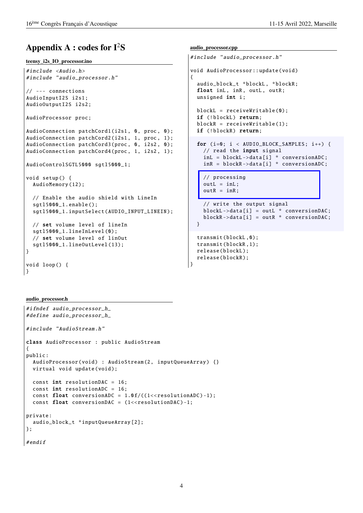# Appendix  $A : codes$  for  $I<sup>2</sup>S$

#### teensy\_i2s\_IO\_processor.ino

```
#include <Audio.h>
#include " audio_processor .h"
// --- connections
AudioInputI2S i2s1;
AudioOutputI2S i2s2;
AudioProcessor proc;
AudioConnection patchCord1(i2s1, 0, proc, 0);
AudioConnection patchCord2(i2s1, 1, proc, 1);
AudioConnection patchCord3 (proc, 0, i2s2, 0);
AudioConnection patchCord4 (proc , 1, i2s2 , 1);
AudioControlSGTL5000 satl5000 1:
void setup () {
  AudioMemory (12);
  // Enable the audio shield with LineIn
  sgtl5000_1 .enable ();
  sgtl5000_1 . inputSelect ( AUDIO_INPUT_LINEIN );
  // set volume level of lineIn
  sgtl5000_1.lineInLevel(0);
  // set volume level of linOut
  sgtl5000_1 . lineOutLevel (13);
}
void loop () {
}
```

```
audio_processor.cpp
```

```
#include " audio_processor .h"
void AudioProcessor :: update(void)
{
  audio_block_t *blockL , *blockR;
  float inL, inR, outL, outR;
  unsigned int i;
  blockL = receiveWriteable(0);if (!blockL) return;
  blockR = receiveWritable (1);
  if (!blockR) return;
  for (i=0; i < AUDIO_BLOCAL) K\_SAMPLES; i++) {
    // read the input signal
    inL = blockL ->data[i] * conversionADC ;
    inR = blockR ->data[i] * conversionADC ;
    // processing
    outL = inL;outR = inR:
    // write the output signal
    blockL->data[i] = outL * conversionDAC;
    blockR->data[i] = outR * conversionDAC;
```
transmit(blockL ,0); transmit(blockR ,1); release(blockL ); release(blockR );

}

}

audio\_processor.h

```
#ifndef audio_processor_h_
#define audio_processor_h_
#include " AudioStream .h"
class AudioProcessor : public AudioStream
{
public:
  AudioProcessor(void) : AudioStream(2, inputQueueArray) {}
  virtual void update(void);
  const int resolutionDAC = 16:
  const int resolutionADC = 16;
  const float conversionADC = 1.0 f/((1 < r s s u t i b C) - 1);const float conversionDAC = (1<resolutionDAC)-1;
private:
  audio_block_t * inputQueueArray [2];
};
#endif
```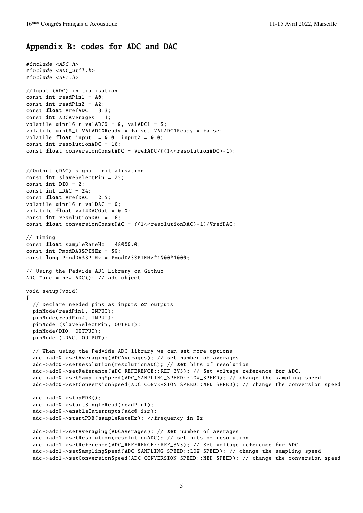### Appendix B: codes for ADC and DAC

```
#include <ADC.h>
#include <ADC util.h>
#include <SPI.h>
// Input (ADC) initialisation
const int \text{ readPin1} = A0;
const int readPin2 = A2;
const float VrefADC = 3.3;
const int ADCAverages = 1;
volatile uint16_t valADC0 = 0, valADC1 = 0;
volatile uint8_t VALADC0Ready = false , VALADC1Ready = false;
volatile float input1 = 0.0, input2 = 0.0;
const int resolutionADC = 16:
const float conversionConstADC = VrefADC/((1<<resolutionADC)-1);
// Output (DAC) signal initialisation
const int slaveSelectPin = 25;
const int DIO = 2;
const int LDAC = 24;
const float VrefDAC = 2.5:
volatile uint16_t valDAC = 0;
volatile float val4DACOut = 0.0;
const int resolutionDAC = 16;
const float conversionConstDAC = ((1 < r <i>resolutionDAC</i>) - 1)/VrefDAC;
// Timing
const float sampleRateHz = 48000.0;
const int PmodDA3SPIMHz = 50;
const long PmodDA3SPIHz = PmodDA3SPIMHz *1000*1000;
// Using the Pedvide ADC Library on Github
ADC *adc = new ADC(); // adc object
void setup(void)
\mathbf{f}// Declare needed pins as inputs or outputs
  pinMode(readPin1 , INPUT );
  pinMode(readPin2 , INPUT );
  pinMode (slaveSelectPin , OUTPUT );
  pinMode(DIO , OUTPUT );
  pinMode (LDAC, OUTPUT);
  // When using the Pedvide ADC library we can set more options
  adc ->adc0 -> setAveraging ( ADCAverages ); // set number of averages
  adc ->adc0 -> setResolution ( resolutionADC ); // set bits of resolution
  adc->adc0->setReference(ADC_REFERENCE:: REF_3V3): // Set voltage reference for ADC.
  adc->adc0->setSamplingSpeed(ADC_SAMPLING_SPEED::LOW_SPEED); // change the sampling speed
  adc ->adc0 -> setConversionSpeed ( ADC_CONVERSION_SPEED :: MED_SPEED ); // change the conversion speed
  adc ->adc0 ->stopPDB ();
  adc->adc0->startSingleRead(readPin1);
  adc ->adc0 -> enableInterrupts (adc0_isr );
  adc->adc0->startPDB(sampleRateHz); //frequency in Hz
  adc ->adc1 -> setAveraging ( ADCAverages ); // set number of averages
  adc ->adc1 -> setResolution ( resolutionADC ); // set bits of resolution
  adc ->adc1 -> setReference ( ADC_REFERENCE :: REF_3V3 ); // Set voltage reference for ADC.
  adc ->adc1 -> setSamplingSpeed ( ADC_SAMPLING_SPEED :: LOW_SPEED ); // change the sampling speed
  adc ->adc1 -> setConversionSpeed ( ADC_CONVERSION_SPEED :: MED_SPEED ); // change the conversion speed
```